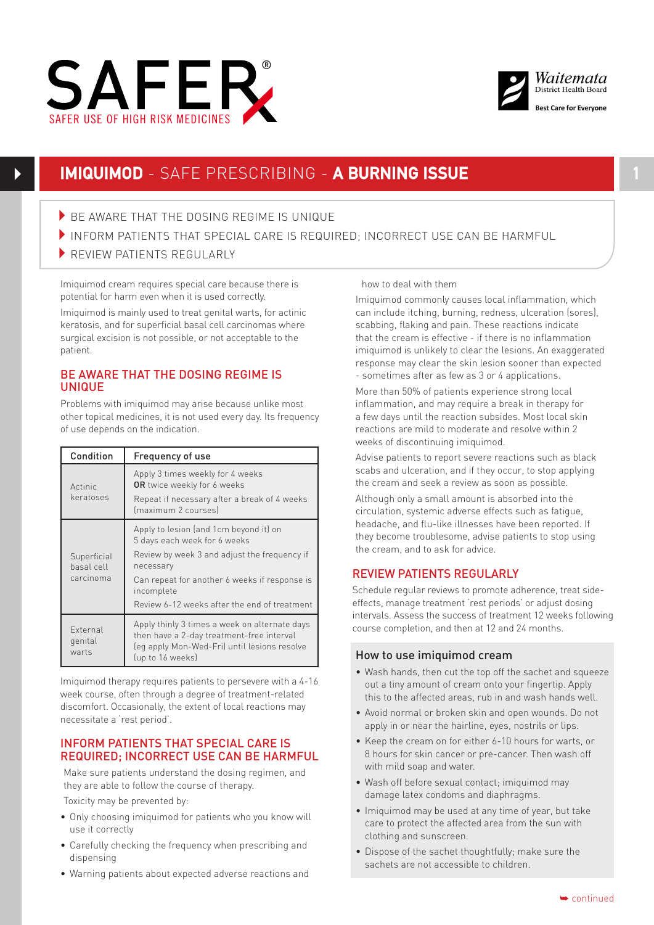



# **IMIQUIMOD** - SAFE PRESCRIBING - **A BURNING ISSUE 1**

- $\blacktriangleright$  BE AWARE THAT THE DOSING REGIME IS UNIQUE
- INFORM PATIENTS THAT SPECIAL CARE IS REQUIRED; INCORRECT USE CAN BE HARMEUL
- REVIEW PATIENTS REGULARLY

Imiquimod cream requires special care because there is potential for harm even when it is used correctly.

Imiquimod is mainly used to treat genital warts, for actinic Imiquimou is mainty used to treat genitat warts, for actinic<br>keratosis, and for superficial basal cell carcinomas where surgical excision is not possible, or not acceptable to the patient.

### BE AWARE THAT THE DOSING REGIME IS UNIQUE

Problems with imiquimod may arise because unlike most other topical medicines, it is not used every day. Its frequency of use depends on the indication.

| Condition                              | Frequency of use                                                                                                                                                                                                                                   |
|----------------------------------------|----------------------------------------------------------------------------------------------------------------------------------------------------------------------------------------------------------------------------------------------------|
| Actinic<br>keratoses                   | Apply 3 times weekly for 4 weeks<br><b>OR</b> twice weekly for 6 weeks<br>Repeat if necessary after a break of 4 weeks<br>maximum 2 courses)                                                                                                       |
| Superficial<br>basal cell<br>carcinoma | Apply to lesion (and 1cm beyond it) on<br>5 days each week for 6 weeks<br>Review by week 3 and adjust the frequency if<br>necessary<br>Can repeat for another 6 weeks if response is<br>incomplete<br>Review 6-12 weeks after the end of treatment |
| External<br>genital<br>warts           | Apply thinly 3 times a week on alternate days<br>then have a 2-day treatment-free interval<br>(eq apply Mon-Wed-Fri) until lesions resolve<br>(up to 16 weeks)                                                                                     |

Imiquimod therapy requires patients to persevere with a 4-16 week course, often through a degree of treatment-related discomfort. Occasionally, the extent of local reactions may necessitate a 'rest period'.

### INFORM PATIENTS THAT SPECIAL CARE IS REQUIRED; INCORRECT USE CAN BE HARMFUL

Make sure patients understand the dosing regimen, and they are able to follow the course of therapy.

Toxicity may be prevented by:

- Only choosing imiguimod for patients who you know will use it correctly
- Carefully checking the frequency when prescribing and dispensing
- • Warning patients about expected adverse reactions and

how to deal with them

Imiquimod commonly causes local inflammation, which can include itching, burning, redness, ulceration (sores), scabbing, flaking and pain. These reactions indicate that the cream is effective - if there is no inflammation imiquimod is unlikely to clear the lesions. An exaggerated response may clear the skin lesion sooner than expected - sometimes after as few as 3 or 4 applications.

More than 50% of patients experience strong local inflammation, and may require a break in therapy for a few days until the reaction subsides. Most local skin reactions are mild to moderate and resolve within 2 weeks of discontinuing imiquimod.

Advise patients to report severe reactions such as black scabs and ulceration, and if they occur, to stop applying the cream and seek a review as soon as possible.

Although only a small amount is absorbed into the circulation, systemic adverse effects such as fatigue, headache, and flu-like illnesses have been reported. If they become troublesome, advise patients to stop using the cream, and to ask for advice.

## REVIEW PATIENTS REGULARLY

Schedule regular reviews to promote adherence, treat sideeffects, manage treatment 'rest periods' or adjust dosing intervals. Assess the success of treatment 12 weeks following course completion, and then at 12 and 24 months.

#### How to use imiquimod cream

- Wash hands, then cut the top off the sachet and squeeze out a tiny amount of cream onto your fingertip. Apply this to the affected areas, rub in and wash hands well.
- Avoid normal or broken skin and open wounds. Do not apply in or near the hairline, eyes, nostrils or lips.
- • Keep the cream on for either 6-10 hours for warts, or 8 hours for skin cancer or pre-cancer. Then wash off with mild soap and water.
- Wash off before sexual contact; imiguimod may damage latex condoms and diaphragms.
- Imiquimod may be used at any time of year, but take care to protect the affected area from the sun with clothing and sunscreen.
- Dispose of the sachet thoughtfully: make sure the sachets are not accessible to children.